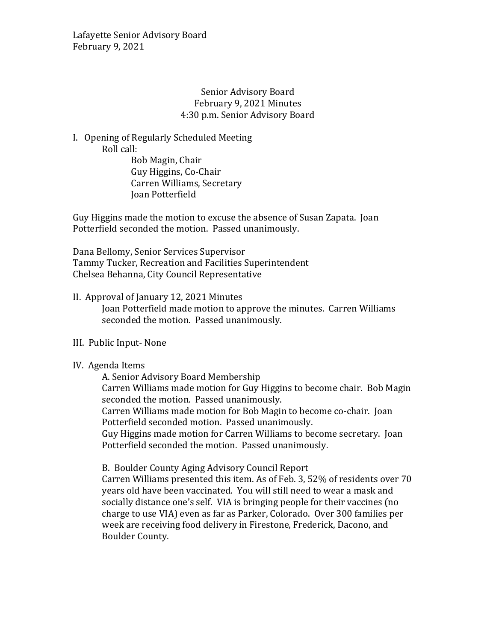Lafayette Senior Advisory Board February 9, 2021

## Senior Advisory Board February 9, 2021 Minutes 4:30 p.m. Senior Advisory Board

I. Opening of Regularly Scheduled Meeting Roll call:

Bob Magin, Chair Guy Higgins, Co-Chair Carren Williams, Secretary Joan Potterfield

Guy Higgins made the motion to excuse the absence of Susan Zapata. Joan Potterfield seconded the motion. Passed unanimously.

Dana Bellomy, Senior Services Supervisor Tammy Tucker, Recreation and Facilities Superintendent Chelsea Behanna, City Council Representative

### II. Approval of January 12, 2021 Minutes

Joan Potterfield made motion to approve the minutes. Carren Williams seconded the motion. Passed unanimously.

### III. Public Input- None

### IV. Agenda Items

A. Senior Advisory Board Membership

Carren Williams made motion for Guy Higgins to become chair. Bob Magin seconded the motion. Passed unanimously.

Carren Williams made motion for Bob Magin to become co-chair. Joan Potterfield seconded motion. Passed unanimously.

Guy Higgins made motion for Carren Williams to become secretary. Joan Potterfield seconded the motion. Passed unanimously.

B. Boulder County Aging Advisory Council Report

Carren Williams presented this item. As of Feb. 3, 52% of residents over 70 years old have been vaccinated. You will still need to wear a mask and socially distance one's self. VIA is bringing people for their vaccines (no charge to use VIA) even as far as Parker, Colorado. Over 300 families per week are receiving food delivery in Firestone, Frederick, Dacono, and Boulder County.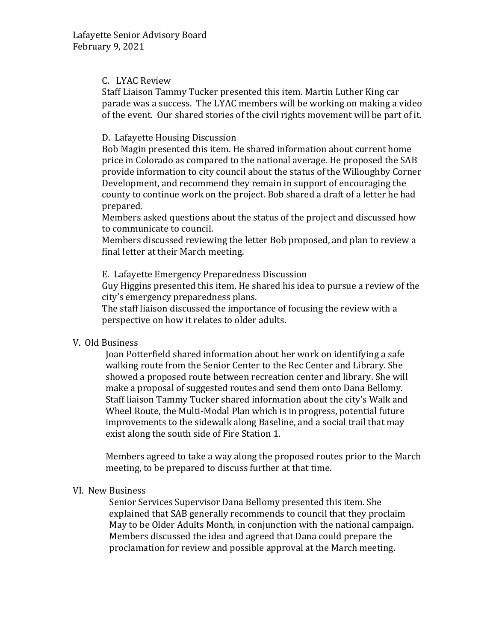### C. LYAC Review

Staff Liaison Tammy Tucker presented this item. Martin Luther King car parade was a success. The LYAC members will be working on making a video of the event. Our shared stories of the civil rights movement will be part of it.

## D. Lafayette Housing Discussion

Bob Magin presented this item. He shared information about current home price in Colorado as compared to the national average. He proposed the SAB provide information to city council about the status of the Willoughby Corner Development, and recommend they remain in support of encouraging the county to continue work on the project. Bob shared a draft of a letter he had prepared.

Members asked questions about the status of the project and discussed how to communicate to council.

Members discussed reviewing the letter Bob proposed, and plan to review a final letter at their March meeting.

E. Lafayette Emergency Preparedness Discussion

Guy Higgins presented this item. He shared his idea to pursue a review of the city's emergency preparedness plans.

The staff liaison discussed the importance of focusing the review with a perspective on how it relates to older adults.

# V. Old Business

Joan Potterfield shared information about her work on identifying a safe walking route from the Senior Center to the Rec Center and Library. She showed a proposed route between recreation center and library. She will make a proposal of suggested routes and send them onto Dana Bellomy. Staff liaison Tammy Tucker shared information about the city's Walk and Wheel Route, the Multi-Modal Plan which is in progress, potential future improvements to the sidewalk along Baseline, and a social trail that may exist along the south side of Fire Station 1.

Members agreed to take a way along the proposed routes prior to the March meeting, to be prepared to discuss further at that time.

### VI. New Business

Senior Services Supervisor Dana Bellomy presented this item. She explained that SAB generally recommends to council that they proclaim May to be Older Adults Month, in conjunction with the national campaign. Members discussed the idea and agreed that Dana could prepare the proclamation for review and possible approval at the March meeting.